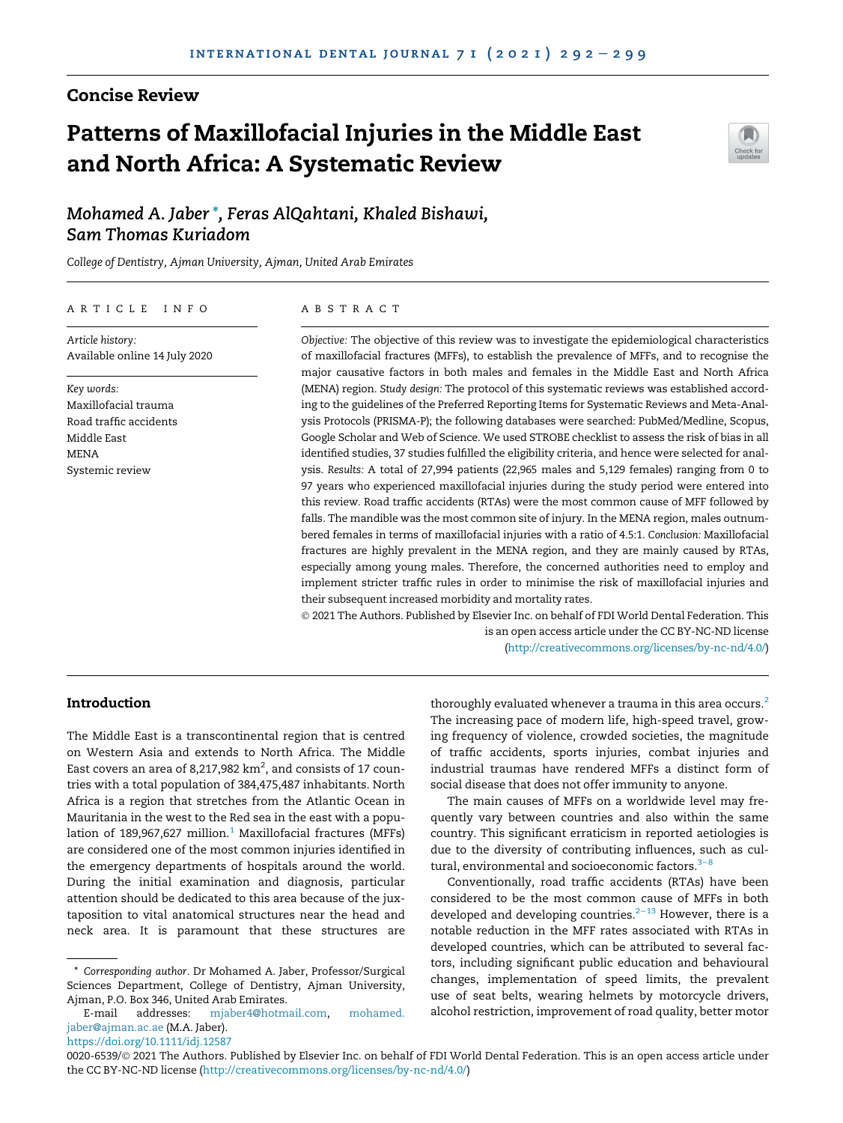# Concise Review

# Patterns of Maxillofacial Injuries in the Middle East and North Africa: A Systematic Review



Mohamed A. Jaber \*, Feras AlQahtani, Khaled Bishawi, Sam Thomas Kuriadom

*College of Dentistry, Ajman University, Ajman, United Arab Emirates*

## ARTICLE INFO

*Article history:* Available online 14 July 2020

*Key words:* Maxillofacial trauma Road traffic accidents Middle East **MENA** Systemic review

## ABSTRACT

*Objective:* The objective of this review was to investigate the epidemiological characteristics of maxillofacial fractures (MFFs), to establish the prevalence of MFFs, and to recognise the major causative factors in both males and females in the Middle East and North Africa (MENA) region. *Study design:* The protocol of this systematic reviews was established according to the guidelines of the Preferred Reporting Items for Systematic Reviews and Meta-Analysis Protocols (PRISMA-P); the following databases were searched: PubMed/Medline, Scopus, Google Scholar and Web of Science. We used STROBE checklist to assess the risk of bias in all identified studies, 37 studies fulfilled the eligibility criteria, and hence were selected for analysis. *Results:* A total of 27,994 patients (22,965 males and 5,129 females) ranging from 0 to 97 years who experienced maxillofacial injuries during the study period were entered into this review. Road traffic accidents (RTAs) were the most common cause of MFF followed by falls. The mandible was the most common site of injury. In the MENA region, males outnumbered females in terms of maxillofacial injuries with a ratio of 4.5:1. *Conclusion:* Maxillofacial fractures are highly prevalent in the MENA region, and they are mainly caused by RTAs, especially among young males. Therefore, the concerned authorities need to employ and implement stricter traffic rules in order to minimise the risk of maxillofacial injuries and their subsequent increased morbidity and mortality rates.

 2021 The Authors. Published by Elsevier Inc. on behalf of FDI World Dental Federation. This is an open access article under the CC BY-NC-ND license (http://creativecommons.org/licenses/by-nc-nd/4.0/)

## Introduction

The Middle East is a transcontinental region that is centred on Western Asia and extends to North Africa. The Middle East covers an area of 8,217,982  $\rm km^2$ , and consists of 17 countries with a total population of 384,475,487 inhabitants. North Africa is a region that stretches from the Atlantic Ocean in Mauritania in the west to the Red sea in the east with a population of 189,967,627 million.<sup>1</sup> Maxillofacial fractures (MFFs) are considered one of the most common injuries identified in the emergency departments of hospitals around the world. During the initial examination and diagnosis, particular attention should be dedicated to this area because of the juxtaposition to vital anatomical structures near the head and neck area. It is paramount that these structures are

\* *Corresponding author.* Dr Mohamed A. Jaber, Professor/Surgical Sciences Department, College of Dentistry, Ajman University, Ajman, P.O. Box 346, United Arab Emirates.

E-mail addresses: mjaber4@hotmail.com, mohamed. jaber@ajman.ac.ae (M.A. Jaber). https://doi.org/10.1111/idj.12587

thoroughly evaluated whenever a trauma in this area occurs.<sup>2</sup> The increasing pace of modern life, high-speed travel, growing frequency of violence, crowded societies, the magnitude of traffic accidents, sports injuries, combat injuries and industrial traumas have rendered MFFs a distinct form of social disease that does not offer immunity to anyone.

The main causes of MFFs on a worldwide level may frequently vary between countries and also within the same country. This significant erraticism in reported aetiologies is due to the diversity of contributing influences, such as cultural, environmental and socioeconomic factors.<sup>3−8</sup>

Conventionally, road traffic accidents (RTAs) have been considered to be the most common cause of MFFs in both developed and developing countries.<sup>2−13</sup> However, there is a notable reduction in the MFF rates associated with RTAs in developed countries, which can be attributed to several factors, including significant public education and behavioural changes, implementation of speed limits, the prevalent use of seat belts, wearing helmets by motorcycle drivers, alcohol restriction, improvement of road quality, better motor

0020-6539/© 2021 The Authors. Published by Elsevier Inc. on behalf of FDI World Dental Federation. This is an open access article under the CC BY-NC-ND license (http://creativecommons.org/licenses/by-nc-nd/4.0/)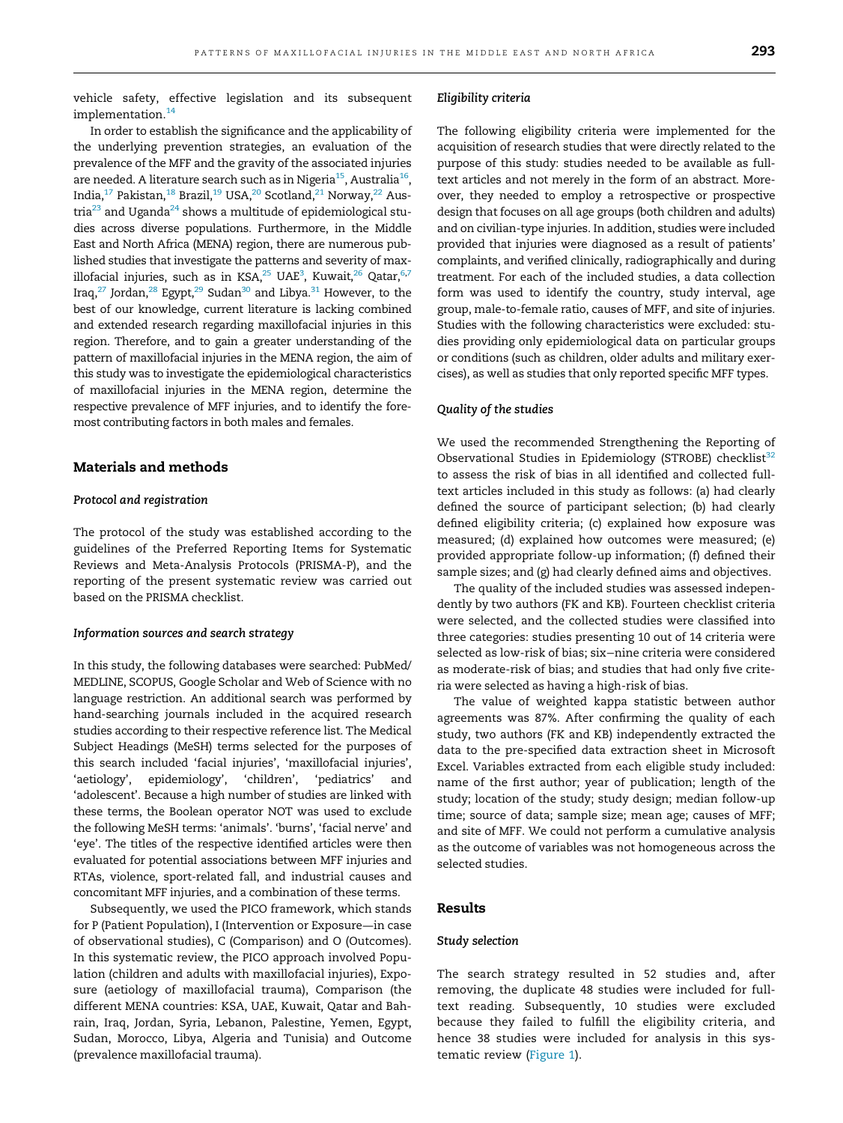vehicle safety, effective legislation and its subsequent implementation.<sup>14</sup>

In order to establish the significance and the applicability of the underlying prevention strategies, an evaluation of the prevalence of the MFF and the gravity of the associated injuries are needed. A literature search such as in Nigeria<sup>15</sup>, Australia<sup>16</sup>, India,<sup>17</sup> Pakistan,<sup>18</sup> Brazil,<sup>19</sup> USA,<sup>20</sup> Scotland,<sup>21</sup> Norway,<sup>22</sup> Austria<sup>23</sup> and Uganda<sup>24</sup> shows a multitude of epidemiological studies across diverse populations. Furthermore, in the Middle East and North Africa (MENA) region, there are numerous published studies that investigate the patterns and severity of maxillofacial injuries, such as in KSA, $^{25}$  UAE $^3$ , Kuwait, $^{26}$  Qatar, $^{6,7}$ Iraq,<sup>27</sup> Jordan,<sup>28</sup> Egypt,<sup>29</sup> Sudan<sup>30</sup> and Libya.<sup>31</sup> However, to the best of our knowledge, current literature is lacking combined and extended research regarding maxillofacial injuries in this region. Therefore, and to gain a greater understanding of the pattern of maxillofacial injuries in the MENA region, the aim of this study was to investigate the epidemiological characteristics of maxillofacial injuries in the MENA region, determine the respective prevalence of MFF injuries, and to identify the foremost contributing factors in both males and females.

## Materials and methods

## Protocol and registration

The protocol of the study was established according to the guidelines of the Preferred Reporting Items for Systematic Reviews and Meta-Analysis Protocols (PRISMA-P), and the reporting of the present systematic review was carried out based on the PRISMA checklist.

#### Information sources and search strategy

In this study, the following databases were searched: PubMed/ MEDLINE, SCOPUS, Google Scholar and Web of Science with no language restriction. An additional search was performed by hand-searching journals included in the acquired research studies according to their respective reference list. The Medical Subject Headings (MeSH) terms selected for the purposes of this search included 'facial injuries', 'maxillofacial injuries', 'aetiology', epidemiology', 'children', 'pediatrics' and 'adolescent'. Because a high number of studies are linked with these terms, the Boolean operator NOT was used to exclude the following MeSH terms: 'animals'. 'burns', 'facial nerve' and 'eye'. The titles of the respective identified articles were then evaluated for potential associations between MFF injuries and RTAs, violence, sport-related fall, and industrial causes and concomitant MFF injuries, and a combination of these terms.

Subsequently, we used the PICO framework, which stands for P (Patient Population), I (Intervention or Exposure—in case of observational studies), C (Comparison) and O (Outcomes). In this systematic review, the PICO approach involved Population (children and adults with maxillofacial injuries), Exposure (aetiology of maxillofacial trauma), Comparison (the different MENA countries: KSA, UAE, Kuwait, Qatar and Bahrain, Iraq, Jordan, Syria, Lebanon, Palestine, Yemen, Egypt, Sudan, Morocco, Libya, Algeria and Tunisia) and Outcome (prevalence maxillofacial trauma).

## Eligibility criteria

The following eligibility criteria were implemented for the acquisition of research studies that were directly related to the purpose of this study: studies needed to be available as fulltext articles and not merely in the form of an abstract. Moreover, they needed to employ a retrospective or prospective design that focuses on all age groups (both children and adults) and on civilian-type injuries. In addition, studies were included provided that injuries were diagnosed as a result of patients' complaints, and verified clinically, radiographically and during treatment. For each of the included studies, a data collection form was used to identify the country, study interval, age group, male-to-female ratio, causes of MFF, and site of injuries. Studies with the following characteristics were excluded: studies providing only epidemiological data on particular groups or conditions (such as children, older adults and military exercises), as well as studies that only reported specific MFF types.

#### Quality of the studies

We used the recommended Strengthening the Reporting of Observational Studies in Epidemiology (STROBE) checklist<sup>32</sup> to assess the risk of bias in all identified and collected fulltext articles included in this study as follows: (a) had clearly defined the source of participant selection; (b) had clearly defined eligibility criteria; (c) explained how exposure was measured; (d) explained how outcomes were measured; (e) provided appropriate follow-up information; (f) defined their sample sizes; and (g) had clearly defined aims and objectives.

The quality of the included studies was assessed independently by two authors (FK and KB). Fourteen checklist criteria were selected, and the collected studies were classified into three categories: studies presenting 10 out of 14 criteria were selected as low-risk of bias; six−nine criteria were considered as moderate-risk of bias; and studies that had only five criteria were selected as having a high-risk of bias.

The value of weighted kappa statistic between author agreements was 87%. After confirming the quality of each study, two authors (FK and KB) independently extracted the data to the pre-specified data extraction sheet in Microsoft Excel. Variables extracted from each eligible study included: name of the first author; year of publication; length of the study; location of the study; study design; median follow-up time; source of data; sample size; mean age; causes of MFF; and site of MFF. We could not perform a cumulative analysis as the outcome of variables was not homogeneous across the selected studies.

## Results

#### Study selection

The search strategy resulted in 52 studies and, after removing, the duplicate 48 studies were included for fulltext reading. Subsequently, 10 studies were excluded because they failed to fulfill the eligibility criteria, and hence 38 studies were included for analysis in this systematic review (Figure 1).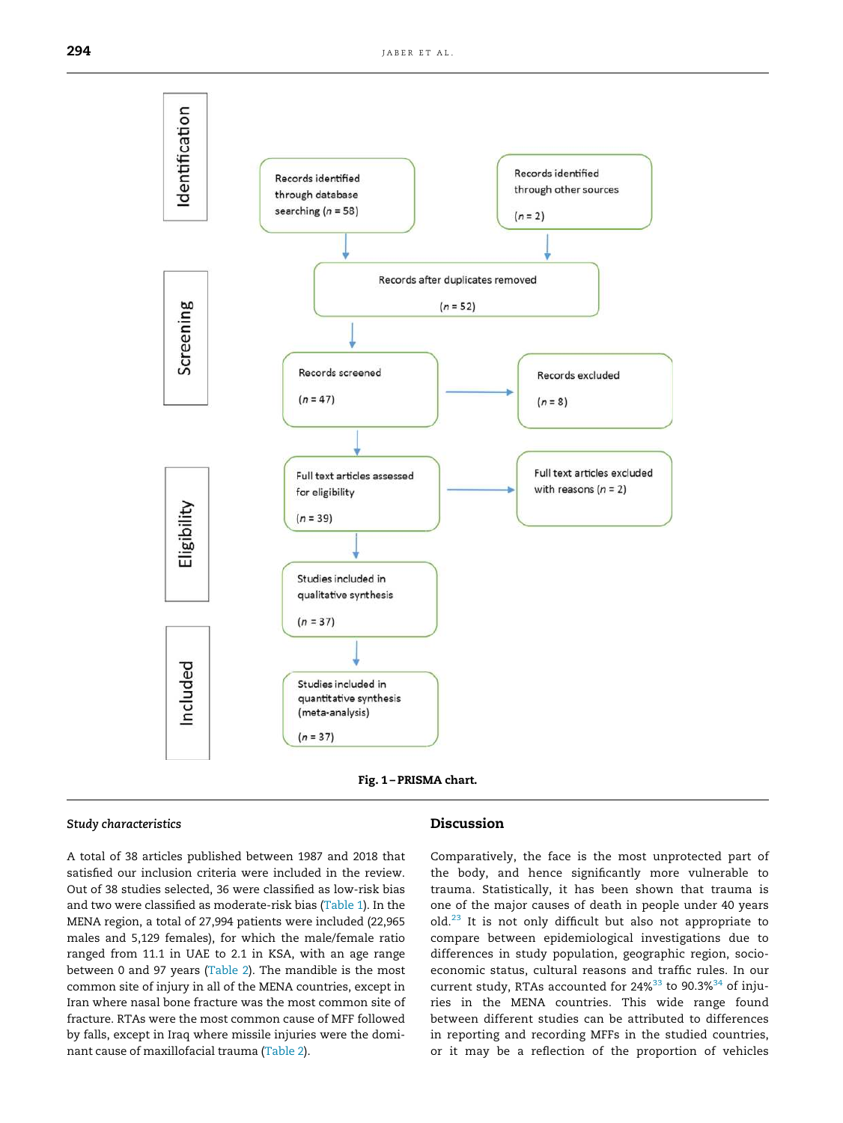



#### Study characteristics

A total of 38 articles published between 1987 and 2018 that satisfied our inclusion criteria were included in the review. Out of 38 studies selected, 36 were classified as low-risk bias and two were classified as moderate-risk bias (Table 1). In the MENA region, a total of 27,994 patients were included (22,965 males and 5,129 females), for which the male/female ratio ranged from 11.1 in UAE to 2.1 in KSA, with an age range between 0 and 97 years (Table 2). The mandible is the most common site of injury in all of the MENA countries, except in Iran where nasal bone fracture was the most common site of fracture. RTAs were the most common cause of MFF followed by falls, except in Iraq where missile injuries were the dominant cause of maxillofacial trauma (Table 2).

## Discussion

Comparatively, the face is the most unprotected part of the body, and hence significantly more vulnerable to trauma. Statistically, it has been shown that trauma is one of the major causes of death in people under 40 years old.<sup>23</sup> It is not only difficult but also not appropriate to compare between epidemiological investigations due to differences in study population, geographic region, socioeconomic status, cultural reasons and traffic rules. In our current study, RTAs accounted for  $24\%^{33}$  to  $90.3\%^{34}$  of injuries in the MENA countries. This wide range found between different studies can be attributed to differences in reporting and recording MFFs in the studied countries, or it may be a reflection of the proportion of vehicles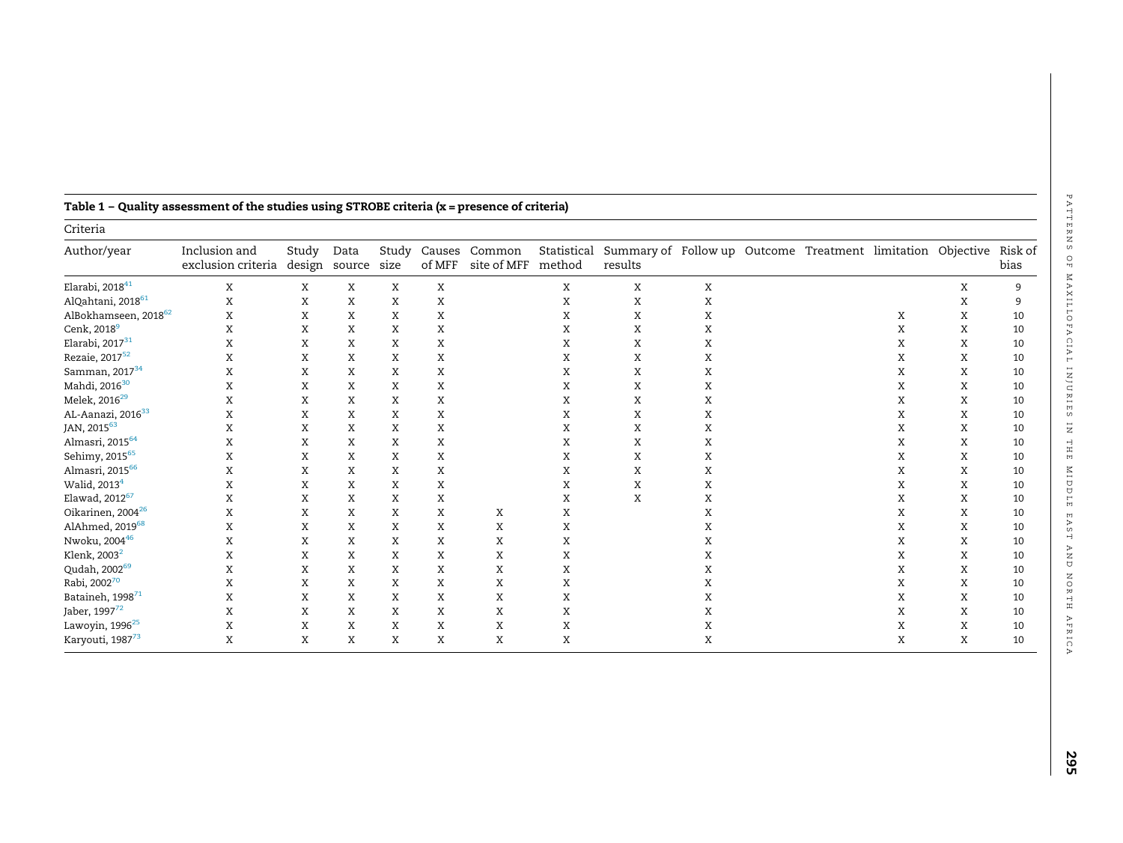| Criteria                         |                                     |                 |                |               |                  |                       |                       |                                                                        |   |  |  |   |   |                 |
|----------------------------------|-------------------------------------|-----------------|----------------|---------------|------------------|-----------------------|-----------------------|------------------------------------------------------------------------|---|--|--|---|---|-----------------|
| Author/year                      | Inclusion and<br>exclusion criteria | Study<br>design | Data<br>source | Study<br>size | Causes<br>of MFF | Common<br>site of MFF | Statistical<br>method | Summary of Follow up Outcome Treatment limitation Objective<br>results |   |  |  |   |   | Risk of<br>bias |
| Elarabi, 2018 <sup>41</sup>      | X                                   | X               | X              | X             | X                |                       | X                     | X                                                                      | Χ |  |  |   | X | 9               |
| AlQahtani, 2018 <sup>61</sup>    | X                                   | X               | X              | X             | X                |                       | X                     | X                                                                      | X |  |  |   | X |                 |
| AlBokhamseen, 2018 <sup>62</sup> | X                                   | Χ               | X              | X             | X                |                       | X                     | X                                                                      | Χ |  |  | Χ | Χ | 10              |
| Cenk, 2018 <sup>9</sup>          | X                                   | X               | X              | X             | X                |                       | X                     | X                                                                      | X |  |  | X | X | 10              |
| Elarabi, 2017 $^{31}$            | X                                   | X               | X              | X             | X                |                       | X                     | X                                                                      | Χ |  |  | Χ | X | 10              |
| Rezaie, 2017 <sup>52</sup>       | X                                   | X               | X              | X             | X                |                       | Χ                     | X                                                                      | X |  |  | X | X | 10              |
| Samman, 2017 <sup>34</sup>       | X                                   | X               | X              | X             | X                |                       | X                     | Χ                                                                      | X |  |  | X | X | 10              |
| Mahdi, 2016 <sup>30</sup>        | X                                   | X               | X              | X             | X                |                       | X                     | X                                                                      | X |  |  | X | X | 10              |
| Melek, 2016 <sup>29</sup>        | X                                   | X               | X              | X             | X                |                       | Χ                     | X                                                                      | X |  |  | X | X | 10              |
| AL-Aanazi, 2016 <sup>33</sup>    | X                                   | X               | X              | X             | X                |                       | X                     | X                                                                      | X |  |  | X | X | 10              |
| JAN, 201563                      | X                                   | X               | X              | X             | X                |                       | X                     | X                                                                      | X |  |  | X | X | 10              |
| Almasri, 2015 <sup>64</sup>      | X                                   | X               | X              | X             | X                |                       | X                     | X                                                                      | X |  |  | X | X | 10              |
| Sehimy, 2015 <sup>65</sup>       | X                                   | X               | X              | X             | X                |                       | X                     | Χ                                                                      | X |  |  | X | X | 10              |
| Almasri, 2015 <sup>66</sup>      | X                                   | Χ               | X              | X             | X                |                       | X                     | X                                                                      | Χ |  |  | Χ | Χ | 10              |
| Walid, 2013 <sup>4</sup>         | X                                   | X               | X              | X             | X                |                       | X                     | X                                                                      | X |  |  | X | X | 10              |
| Elawad, 2012 <sup>67</sup>       | X                                   | X               | X              | X             | X                |                       | X                     | X                                                                      | X |  |  | Χ | X | 10              |
| Oikarinen, 2004 <sup>26</sup>    | X                                   | X               | X              | X             | X                | X                     | X                     |                                                                        | X |  |  | X | X | 10              |
| AlAhmed, 2019 <sup>68</sup>      | X                                   | X               | X              | X             | X                | X                     | Χ                     |                                                                        | X |  |  | X | X | 10              |
| Nwoku, 2004 <sup>46</sup>        | X                                   | X               | X              | X             | X                | X                     | X                     |                                                                        | X |  |  | X | X | 10              |
| Klenk, 2003 <sup>2</sup>         | X                                   | X               | X              | X             | X                | X                     | Χ                     |                                                                        | Х |  |  | X | X | 10              |
| Qudah, 2002 <sup>69</sup>        | X                                   | X               | X              | X             | X                | X                     | X                     |                                                                        | Χ |  |  | X | X | 10              |
| Rabi, 200270                     | X                                   | X               | X              | X             | X                | X                     | X                     |                                                                        | X |  |  | X | X | 10              |
| Bataineh, 1998 <sup>71</sup>     | X                                   | X               | X              | X             | X                | X                     | Χ                     |                                                                        | X |  |  | X | X | 10              |
| Jaber, 1997 <sup>72</sup>        | X                                   | X               | X              | X             | X                | X                     | X                     |                                                                        | Х |  |  | Χ | X | 10              |
| Lawoyin, 1996 <sup>25</sup>      | X                                   | X               | X              | X             | X                | X                     | Χ                     |                                                                        | X |  |  | X | X | 10              |
| Karyouti, 1987 <sup>73</sup>     | X                                   | X               | X              | X             | X                | X                     | X                     |                                                                        | X |  |  | X | X | 10              |

## Table 1 – Quality assessment of the studies using STROBE criteria (x = presence of criteria)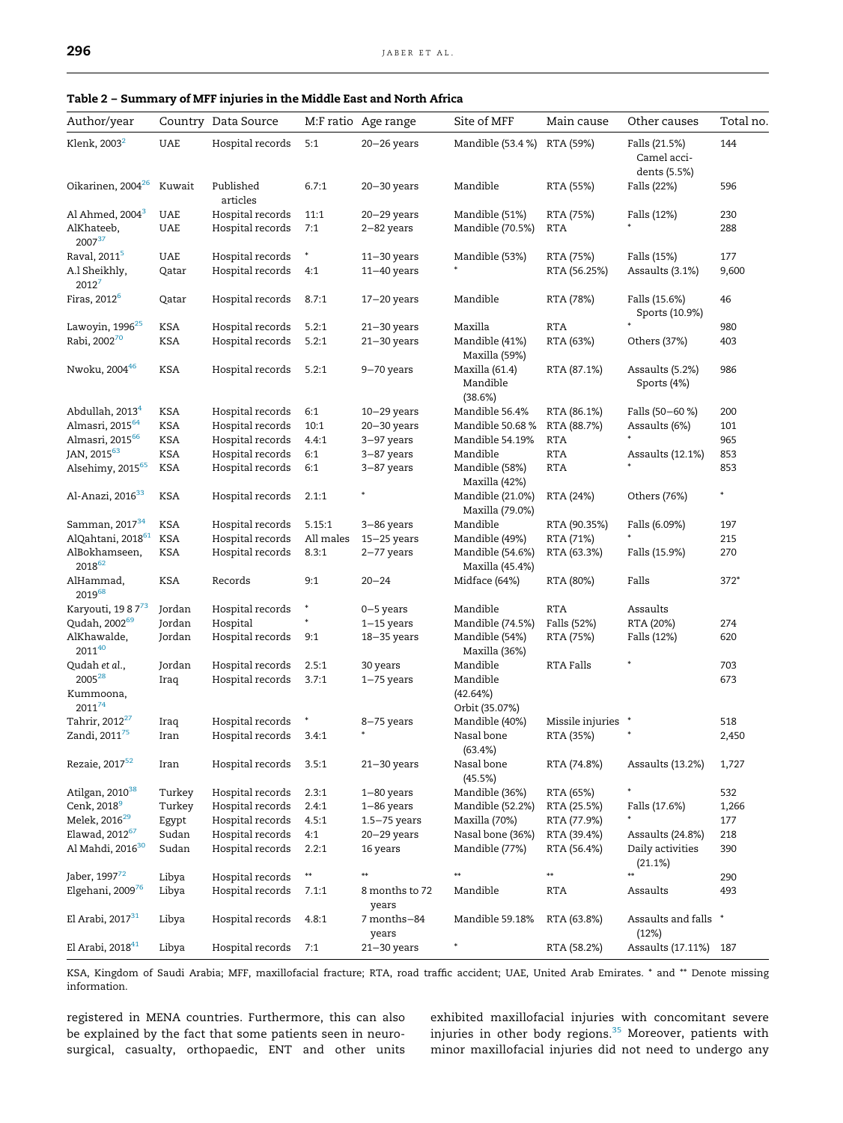| Author/year                     |            | Country Data Source   |           | M:F ratio Age range  | Site of MFF                           | Main cause         | Other causes                                 | Total no. |
|---------------------------------|------------|-----------------------|-----------|----------------------|---------------------------------------|--------------------|----------------------------------------------|-----------|
| Klenk, 2003 <sup>2</sup>        | <b>UAE</b> | Hospital records      | 5:1       | $20 - 26$ years      | Mandible (53.4 %)                     | RTA (59%)          | Falls (21.5%)<br>Camel acci-<br>dents (5.5%) | 144       |
| Oikarinen, 2004 <sup>26</sup>   | Kuwait     | Published<br>articles | 6.7:1     | $20 - 30$ years      | Mandible                              | RTA (55%)          | Falls (22%)                                  | 596       |
| Al Ahmed, 2004 <sup>3</sup>     | <b>UAE</b> | Hospital records      | 11:1      | $20 - 29$ years      | Mandible (51%)                        | RTA (75%)          | Falls (12%)                                  | 230       |
| AlKhateeb,<br>200737            | UAE        | Hospital records      | 7:1       | 2-82 years           | Mandible (70.5%)                      | RTA                |                                              | 288       |
| Raval, 2011 <sup>5</sup>        | UAE        | Hospital records      | ŧ         | $11 - 30$ years      | Mandible (53%)                        | RTA (75%)          | Falls (15%)                                  | 177       |
| A.l Sheikhly,<br>$2012^7$       | Qatar      | Hospital records      | 4:1       | $11 - 40$ years      |                                       | RTA (56.25%)       | Assaults (3.1%)                              | 9,600     |
| Firas, 2012 <sup>6</sup>        | Qatar      | Hospital records      | 8.7:1     | $17 - 20$ years      | Mandible                              | RTA (78%)          | Falls (15.6%)<br>Sports (10.9%)              | 46        |
| Lawoyin, 1996 <sup>25</sup>     | KSA        | Hospital records      | 5.2:1     | $21 - 30$ years      | Maxilla                               | <b>RTA</b>         |                                              | 980       |
| Rabi, 2002 <sup>70</sup>        | KSA        | Hospital records      | 5.2:1     | $21 - 30$ years      | Mandible (41%)<br>Maxilla (59%)       | RTA (63%)          | Others (37%)                                 | 403       |
| Nwoku, 200446                   | KSA        | Hospital records      | 5.2:1     | 9-70 years           | Maxilla (61.4)<br>Mandible<br>(38.6%) | RTA (87.1%)        | Assaults (5.2%)<br>Sports (4%)               | 986       |
| Abdullah, 2013 <sup>4</sup>     | KSA        | Hospital records      | 6:1       | $10-29$ years        | Mandible 56.4%                        | RTA (86.1%)        | Falls (50–60 %)                              | 200       |
| Almasri, 2015 <sup>64</sup>     | KSA        | Hospital records      | 10:1      | $20 - 30$ years      | Mandible 50.68 %                      | RTA (88.7%)        | Assaults (6%)                                | 101       |
| Almasri, 2015 <sup>66</sup>     | <b>KSA</b> | Hospital records      | 4.4:1     | 3-97 years           | Mandible 54.19%                       | <b>RTA</b>         |                                              | 965       |
| JAN, 2015 <sup>63</sup>         | KSA        | Hospital records      | 6:1       | 3-87 years           | Mandible                              | RTA                | Assaults (12.1%)                             | 853       |
| Alsehimy, 2015 <sup>65</sup>    | KSA        | Hospital records      | 6:1       | 3-87 years           | Mandible (58%)<br>Maxilla (42%)       | <b>RTA</b>         |                                              | 853       |
| Al-Anazi, 2016 <sup>33</sup>    | KSA        | Hospital records      | 2.1:1     |                      | Mandible (21.0%)<br>Maxilla (79.0%)   | RTA (24%)          | Others (76%)                                 | *         |
| Samman, 2017 <sup>34</sup>      | KSA        | Hospital records      | 5.15:1    | 3-86 years           | Mandible                              | RTA (90.35%)       | Falls (6.09%)                                | 197       |
| AlQahtani, 2018 <sup>61</sup>   | KSA        | Hospital records      | All males | $15 - 25$ years      | Mandible (49%)                        | RTA (71%)          |                                              | 215       |
| AlBokhamseen,<br>201862         | KSA        | Hospital records      | 8.3:1     | $2 - 77$ years       | Mandible (54.6%)<br>Maxilla (45.4%)   | RTA (63.3%)        | Falls (15.9%)                                | 270       |
| AlHammad,<br>201968             | KSA        | Records               | 9:1       | $20 - 24$            | Midface (64%)                         | RTA (80%)          | Falls                                        | $372*$    |
| Karyouti, 19 8 7 <sup>73</sup>  | Jordan     | Hospital records      |           | 0-5 years            | Mandible                              | <b>RTA</b>         | Assaults                                     |           |
| Qudah, 2002 <sup>69</sup>       | Jordan     | Hospital              |           | $1-15$ years         | Mandible (74.5%)                      | Falls (52%)        | RTA (20%)                                    | 274       |
| AlKhawalde,<br>$2011^{40}$      | Jordan     | Hospital records      | 9:1       | $18 - 35$ years      | Mandible (54%)<br>Maxilla (36%)       | RTA (75%)          | Falls (12%)                                  | 620       |
| Qudah et al.,                   | Jordan     | Hospital records      | 2.5:1     | 30 years             | Mandible                              | RTA Falls          |                                              | 703       |
| 2005 <sup>28</sup><br>Kummoona, | Iraq       | Hospital records      | 3.7:1     | $1 - 75$ years       | Mandible<br>(42.64%)                  |                    |                                              | 673       |
| $2011^{74}$                     |            |                       |           |                      | Orbit (35.07%)                        |                    |                                              |           |
| Tahrir, 2012 <sup>27</sup>      | Iraq       | Hospital records      |           | 8-75 years           | Mandible (40%)                        | Missile injuries * |                                              | 518       |
| Zandi, 2011 <sup>75</sup>       | Iran       | Hospital records      | 3.4:1     |                      | Nasal bone<br>(63.4%)                 | RTA (35%)          |                                              | 2,450     |
| Rezaie, 2017 <sup>52</sup>      | Iran       | Hospital records      | 3.5:1     | $21 - 30$ years      | Nasal bone<br>(45.5%)                 | RTA (74.8%)        | Assaults (13.2%)                             | 1,727     |
| Atilgan, 2010 <sup>38</sup>     | Turkey     | Hospital records      | 2.3:1     | 1–80 years           | Mandible (36%)                        | RTA (65%)          |                                              | 532       |
| Cenk, 2018 <sup>9</sup>         | Turkey     | Hospital records      | 2.4:1     | $1 - 86$ years       | Mandible (52.2%)                      | RTA (25.5%)        | Falls (17.6%)                                | 1,266     |
| Melek, 2016 <sup>29</sup>       | Egypt      | Hospital records      | 4.5:1     | 1.5–75 years         | Maxilla (70%)                         | RTA (77.9%)        |                                              | 177       |
| Elawad, 2012 <sup>67</sup>      | Sudan      | Hospital records      | 4:1       | 20–29 years          | Nasal bone (36%)                      | RTA (39.4%)        | Assaults (24.8%)                             | 218       |
| Al Mahdi, 2016 <sup>30</sup>    | Sudan      | Hospital records      | 2.2:1     | 16 years             | Mandible (77%)                        | RTA (56.4%)        | Daily activities<br>(21.1%)                  | 390       |
| Jaber, 1997 <sup>72</sup>       | Libya      | Hospital records      | $**$      |                      | $\ast\ast$                            | **                 |                                              | 290       |
| Elgehani, 2009 <sup>76</sup>    | Libya      | Hospital records      | 7.1:1     | 8 months to 72       | Mandible                              | <b>RTA</b>         | Assaults                                     | 493       |
|                                 |            |                       |           | years                |                                       |                    |                                              |           |
| El Arabi, 2017 <sup>31</sup>    | Libya      | Hospital records      | 4.8:1     | 7 months-84<br>years | Mandible 59.18%                       | RTA (63.8%)        | Assaults and falls *<br>(12%)                |           |
| El Arabi, 2018 <sup>41</sup>    | Libya      | Hospital records      | 7:1       | $21 - 30$ years      |                                       | RTA (58.2%)        | Assaults (17.11%) 187                        |           |

KSA, Kingdom of Saudi Arabia; MFF, maxillofacial fracture; RTA, road traffic accident; UAE, United Arab Emirates. \* and \*\* Denote missing information.

registered in MENA countries. Furthermore, this can also be explained by the fact that some patients seen in neurosurgical, casualty, orthopaedic, ENT and other units exhibited maxillofacial injuries with concomitant severe injuries in other body regions.<sup>35</sup> Moreover, patients with minor maxillofacial injuries did not need to undergo any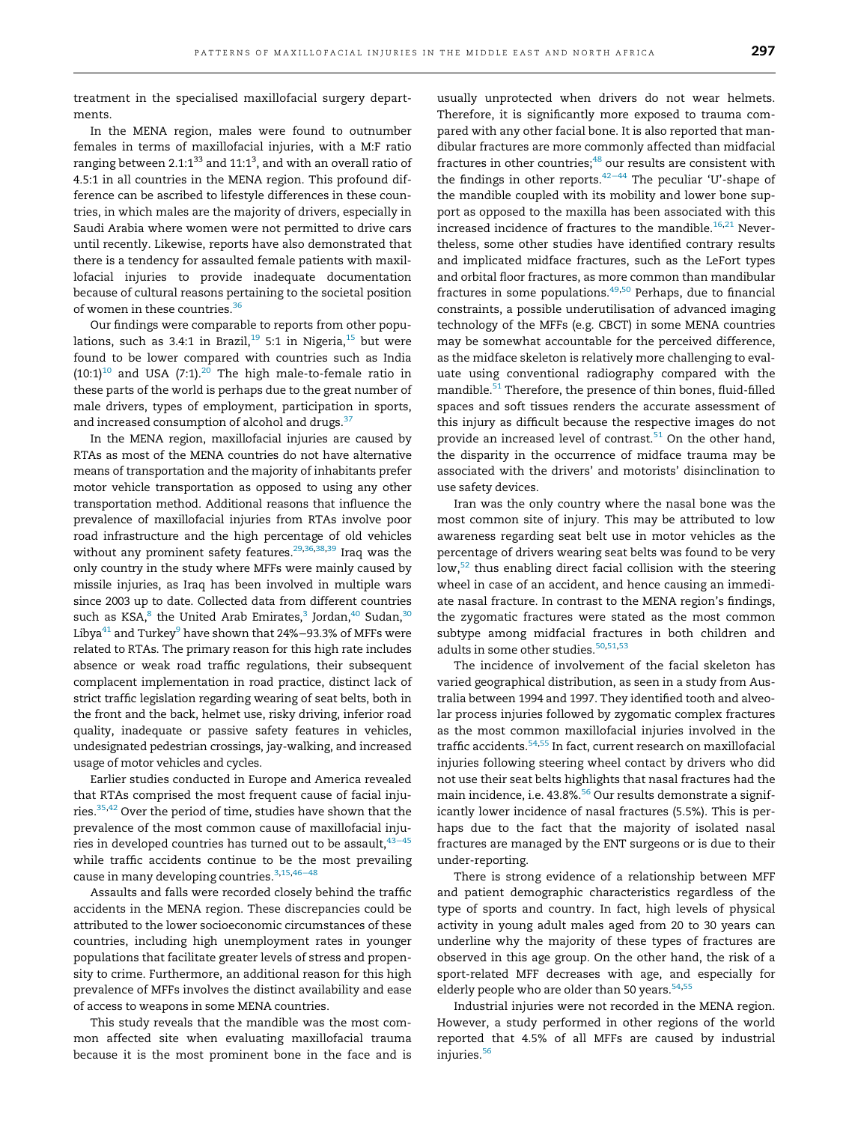treatment in the specialised maxillofacial surgery departments.

In the MENA region, males were found to outnumber females in terms of maxillofacial injuries, with a M:F ratio ranging between 2.1:1 $^{\rm 33}$  and 11:1 $^{\rm 3}$ , and with an overall ratio of 4.5:1 in all countries in the MENA region. This profound difference can be ascribed to lifestyle differences in these countries, in which males are the majority of drivers, especially in Saudi Arabia where women were not permitted to drive cars until recently. Likewise, reports have also demonstrated that there is a tendency for assaulted female patients with maxillofacial injuries to provide inadequate documentation because of cultural reasons pertaining to the societal position of women in these countries.<sup>36</sup>

Our findings were comparable to reports from other populations, such as 3.4:1 in Brazil,<sup>19</sup> 5:1 in Nigeria,<sup>15</sup> but were found to be lower compared with countries such as India  $(10:1)^{10}$  and USA (7:1).<sup>20</sup> The high male-to-female ratio in these parts of the world is perhaps due to the great number of male drivers, types of employment, participation in sports, and increased consumption of alcohol and drugs.<sup>37</sup>

In the MENA region, maxillofacial injuries are caused by RTAs as most of the MENA countries do not have alternative means of transportation and the majority of inhabitants prefer motor vehicle transportation as opposed to using any other transportation method. Additional reasons that influence the prevalence of maxillofacial injuries from RTAs involve poor road infrastructure and the high percentage of old vehicles without any prominent safety features.<sup>29,36,38,39</sup> Iraq was the only country in the study where MFFs were mainly caused by missile injuries, as Iraq has been involved in multiple wars since 2003 up to date. Collected data from different countries such as KSA, $^8$  the United Arab Emirates, $^3$  Jordan, $^{40}$  Sudan, $^{30}$ Libya<sup>41</sup> and Turkey<sup>9</sup> have shown that 24%−93.3% of MFFs were related to RTAs. The primary reason for this high rate includes absence or weak road traffic regulations, their subsequent complacent implementation in road practice, distinct lack of strict traffic legislation regarding wearing of seat belts, both in the front and the back, helmet use, risky driving, inferior road quality, inadequate or passive safety features in vehicles, undesignated pedestrian crossings, jay-walking, and increased usage of motor vehicles and cycles.

Earlier studies conducted in Europe and America revealed that RTAs comprised the most frequent cause of facial injuries.<sup>35,42</sup> Over the period of time, studies have shown that the prevalence of the most common cause of maxillofacial injuries in developed countries has turned out to be assault,  $43−45$ while traffic accidents continue to be the most prevailing cause in many developing countries.3,15,46−<sup>48</sup>

Assaults and falls were recorded closely behind the traffic accidents in the MENA region. These discrepancies could be attributed to the lower socioeconomic circumstances of these countries, including high unemployment rates in younger populations that facilitate greater levels of stress and propensity to crime. Furthermore, an additional reason for this high prevalence of MFFs involves the distinct availability and ease of access to weapons in some MENA countries.

This study reveals that the mandible was the most common affected site when evaluating maxillofacial trauma because it is the most prominent bone in the face and is

usually unprotected when drivers do not wear helmets. Therefore, it is significantly more exposed to trauma compared with any other facial bone. It is also reported that mandibular fractures are more commonly affected than midfacial fractures in other countries;<sup>48</sup> our results are consistent with the findings in other reports.<sup>42−44</sup> The peculiar 'U'-shape of the mandible coupled with its mobility and lower bone support as opposed to the maxilla has been associated with this increased incidence of fractures to the mandible.<sup>16,21</sup> Nevertheless, some other studies have identified contrary results and implicated midface fractures, such as the LeFort types and orbital floor fractures, as more common than mandibular fractures in some populations. $49,50$  Perhaps, due to financial constraints, a possible underutilisation of advanced imaging technology of the MFFs (e.g. CBCT) in some MENA countries may be somewhat accountable for the perceived difference, as the midface skeleton is relatively more challenging to evaluate using conventional radiography compared with the mandible.<sup>51</sup> Therefore, the presence of thin bones, fluid-filled spaces and soft tissues renders the accurate assessment of this injury as difficult because the respective images do not provide an increased level of contrast. $51$  On the other hand, the disparity in the occurrence of midface trauma may be associated with the drivers' and motorists' disinclination to use safety devices.

Iran was the only country where the nasal bone was the most common site of injury. This may be attributed to low awareness regarding seat belt use in motor vehicles as the percentage of drivers wearing seat belts was found to be very low,<sup>52</sup> thus enabling direct facial collision with the steering wheel in case of an accident, and hence causing an immediate nasal fracture. In contrast to the MENA region's findings, the zygomatic fractures were stated as the most common subtype among midfacial fractures in both children and adults in some other studies.<sup>50,51,53</sup>

The incidence of involvement of the facial skeleton has varied geographical distribution, as seen in a study from Australia between 1994 and 1997. They identified tooth and alveolar process injuries followed by zygomatic complex fractures as the most common maxillofacial injuries involved in the traffic accidents.54,55 In fact, current research on maxillofacial injuries following steering wheel contact by drivers who did not use their seat belts highlights that nasal fractures had the main incidence, i.e. 43.8%.<sup>56</sup> Our results demonstrate a significantly lower incidence of nasal fractures (5.5%). This is perhaps due to the fact that the majority of isolated nasal fractures are managed by the ENT surgeons or is due to their under-reporting.

There is strong evidence of a relationship between MFF and patient demographic characteristics regardless of the type of sports and country. In fact, high levels of physical activity in young adult males aged from 20 to 30 years can underline why the majority of these types of fractures are observed in this age group. On the other hand, the risk of a sport-related MFF decreases with age, and especially for elderly people who are older than 50 years. $54,55$ 

Industrial injuries were not recorded in the MENA region. However, a study performed in other regions of the world reported that 4.5% of all MFFs are caused by industrial injuries.<sup>56</sup>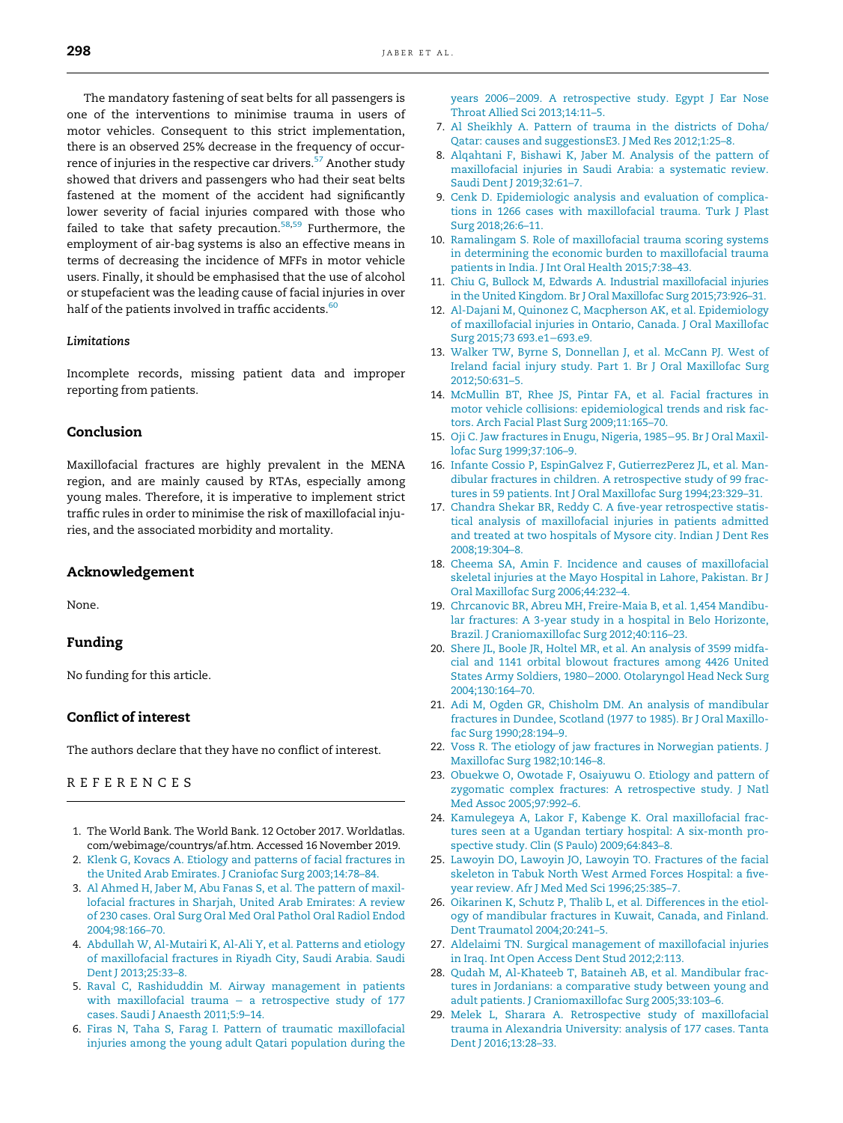The mandatory fastening of seat belts for all passengers is one of the interventions to minimise trauma in users of motor vehicles. Consequent to this strict implementation, there is an observed 25% decrease in the frequency of occurrence of injuries in the respective car drivers.<sup>57</sup> Another study showed that drivers and passengers who had their seat belts fastened at the moment of the accident had significantly lower severity of facial injuries compared with those who failed to take that safety precaution. $58,59$  Furthermore, the employment of air-bag systems is also an effective means in terms of decreasing the incidence of MFFs in motor vehicle users. Finally, it should be emphasised that the use of alcohol or stupefacient was the leading cause of facial injuries in over half of the patients involved in traffic accidents.<sup>60</sup>

## Limitations

Incomplete records, missing patient data and improper reporting from patients.

## Conclusion

Maxillofacial fractures are highly prevalent in the MENA region, and are mainly caused by RTAs, especially among young males. Therefore, it is imperative to implement strict traffic rules in order to minimise the risk of maxillofacial injuries, and the associated morbidity and mortality.

## Acknowledgement

None.

## Funding

No funding for this article.

## Conflict of interest

The authors declare that they have no conflict of interest.

## REFERENCES

- 1. The World Bank. The World Bank. 12 October 2017. Worldatlas. com/webimage/countrys/af.htm. Accessed 16 November 2019.
- 2. Klenk G, Kovacs A. Etiology and patterns of facial fractures in the United Arab Emirates. J Craniofac Surg 2003;14:78–84.
- 3. Al Ahmed H, Jaber M, Abu Fanas S, et al. The pattern of maxillofacial fractures in Sharjah, United Arab Emirates: A review of 230 cases. Oral Surg Oral Med Oral Pathol Oral Radiol Endod 2004;98:166–70.
- 4. Abdullah W, Al-Mutairi K, Al-Ali Y, et al. Patterns and etiology of maxillofacial fractures in Riyadh City, Saudi Arabia. Saudi Dent J 2013;25:33–8.
- 5. Raval C, Rashiduddin M. Airway management in patients with maxillofacial trauma - a retrospective study of 177 cases. Saudi J Anaesth 2011;5:9–14.
- 6. Firas N, Taha S, Farag I. Pattern of traumatic maxillofacial injuries among the young adult Qatari population during the

years 2006−2009. A retrospective study. Egypt J Ear Nose Throat Allied Sci 2013;14:11–5.

- 7. Al Sheikhly A. Pattern of trauma in the districts of Doha/ Qatar: causes and suggestionsE3. J Med Res 2012;1:25–8.
- 8. Alqahtani F, Bishawi K, Jaber M. Analysis of the pattern of maxillofacial injuries in Saudi Arabia: a systematic review. Saudi Dent J 2019;32:61–7.
- 9. Cenk D. Epidemiologic analysis and evaluation of complications in 1266 cases with maxillofacial trauma. Turk J Plast Surg 2018;26:6–11.
- 10. Ramalingam S. Role of maxillofacial trauma scoring systems in determining the economic burden to maxillofacial trauma patients in India. J Int Oral Health 2015;7:38–43.
- 11. Chiu G, Bullock M, Edwards A. Industrial maxillofacial injuries in the United Kingdom. Br J Oral Maxillofac Surg 2015;73:926–31.
- 12. Al-Dajani M, Quinonez C, Macpherson AK, et al. Epidemiology of maxillofacial injuries in Ontario, Canada. J Oral Maxillofac Surg 2015;73 693.e1−693.e9.
- 13. Walker TW, Byrne S, Donnellan J, et al. McCann PJ. West of Ireland facial injury study. Part 1. Br J Oral Maxillofac Surg 2012;50:631–5.
- 14. McMullin BT, Rhee JS, Pintar FA, et al. Facial fractures in motor vehicle collisions: epidemiological trends and risk factors. Arch Facial Plast Surg 2009;11:165–70.
- 15. Oji C. Jaw fractures in Enugu, Nigeria, 1985−95. Br J Oral Maxillofac Surg 1999;37:106–9.
- 16. Infante Cossio P, EspinGalvez F, GutierrezPerez JL, et al. Mandibular fractures in children. A retrospective study of 99 fractures in 59 patients. Int J Oral Maxillofac Surg 1994;23:329–31.
- 17. Chandra Shekar BR, Reddy C. A five-year retrospective statistical analysis of maxillofacial injuries in patients admitted and treated at two hospitals of Mysore city. Indian J Dent Res 2008;19:304–8.
- 18. Cheema SA, Amin F. Incidence and causes of maxillofacial skeletal injuries at the Mayo Hospital in Lahore, Pakistan. Br J Oral Maxillofac Surg 2006;44:232–4.
- 19. Chrcanovic BR, Abreu MH, Freire-Maia B, et al. 1,454 Mandibular fractures: A 3-year study in a hospital in Belo Horizonte, Brazil. J Craniomaxillofac Surg 2012;40:116–23.
- 20. Shere JL, Boole JR, Holtel MR, et al. An analysis of 3599 midfacial and 1141 orbital blowout fractures among 4426 United States Army Soldiers, 1980−2000. Otolaryngol Head Neck Surg 2004;130:164–70.
- 21. Adi M, Ogden GR, Chisholm DM. An analysis of mandibular fractures in Dundee, Scotland (1977 to 1985). Br J Oral Maxillofac Surg 1990;28:194–9.
- 22. Voss R. The etiology of jaw fractures in Norwegian patients. J Maxillofac Surg 1982;10:146–8.
- 23. Obuekwe O, Owotade F, Osaiyuwu O. Etiology and pattern of zygomatic complex fractures: A retrospective study. J Natl Med Assoc 2005;97:992–6.
- 24. Kamulegeya A, Lakor F, Kabenge K. Oral maxillofacial fractures seen at a Ugandan tertiary hospital: A six-month prospective study. Clin (S Paulo) 2009;64:843–8.
- 25. Lawoyin DO, Lawoyin JO, Lawoyin TO. Fractures of the facial skeleton in Tabuk North West Armed Forces Hospital: a fiveyear review. Afr J Med Med Sci 1996;25:385–7.
- 26. Oikarinen K, Schutz P, Thalib L, et al. Differences in the etiology of mandibular fractures in Kuwait, Canada, and Finland. Dent Traumatol 2004;20:241–5.
- 27. Aldelaimi TN. Surgical management of maxillofacial injuries in Iraq. Int Open Access Dent Stud 2012;2:113.
- 28. Qudah M, Al-Khateeb T, Bataineh AB, et al. Mandibular fractures in Jordanians: a comparative study between young and adult patients. J Craniomaxillofac Surg 2005;33:103–6.
- 29. Melek L, Sharara A. Retrospective study of maxillofacial trauma in Alexandria University: analysis of 177 cases. Tanta Dent J 2016;13:28–33.